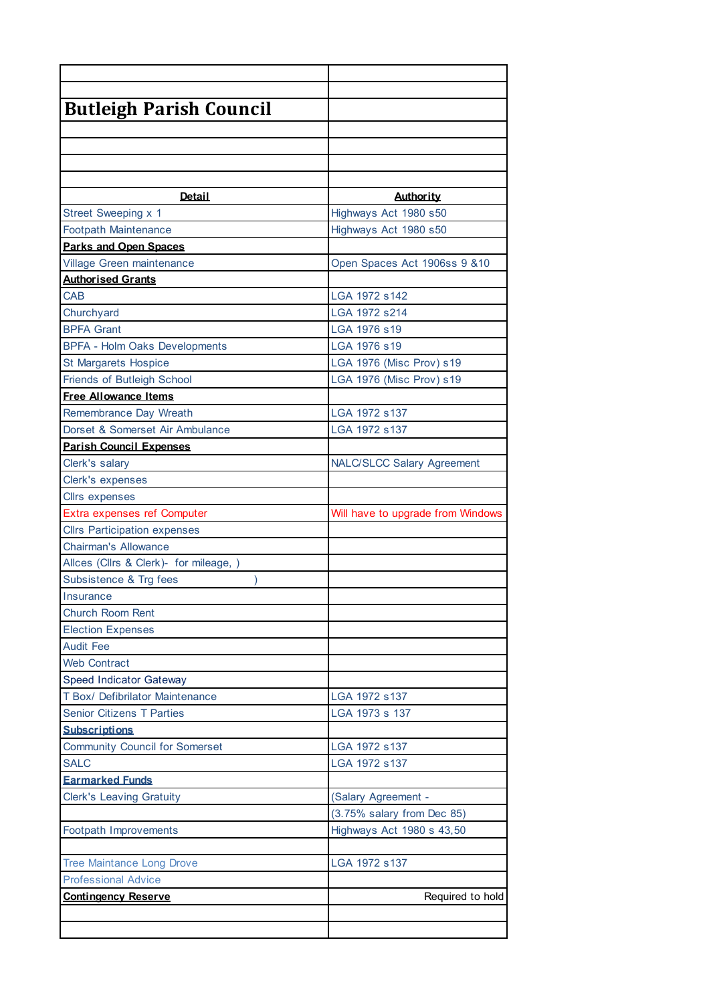| <b>Butleigh Parish Council</b>         |                                   |
|----------------------------------------|-----------------------------------|
|                                        |                                   |
|                                        |                                   |
|                                        |                                   |
|                                        |                                   |
| <b>Detail</b>                          | <b>Authority</b>                  |
| Street Sweeping x 1                    | Highways Act 1980 s50             |
| <b>Footpath Maintenance</b>            | Highways Act 1980 s50             |
| <b>Parks and Open Spaces</b>           |                                   |
| Village Green maintenance              | Open Spaces Act 1906ss 9 &10      |
| <b>Authorised Grants</b>               |                                   |
| <b>CAB</b>                             | LGA 1972 s142                     |
| Churchyard                             | LGA 1972 s214                     |
| <b>BPFA Grant</b>                      | LGA 1976 s19                      |
| <b>BPFA - Holm Oaks Developments</b>   | LGA 1976 s19                      |
| <b>St Margarets Hospice</b>            | LGA 1976 (Misc Prov) s19          |
| Friends of Butleigh School             | LGA 1976 (Misc Prov) s19          |
| <b>Free Allowance Items</b>            |                                   |
| Remembrance Day Wreath                 | LGA 1972 s137                     |
| Dorset & Somerset Air Ambulance        | LGA 1972 s137                     |
| <b>Parish Council Expenses</b>         |                                   |
| Clerk's salary                         | <b>NALC/SLCC Salary Agreement</b> |
| Clerk's expenses                       |                                   |
| <b>Cllrs expenses</b>                  |                                   |
| Extra expenses ref Computer            | Will have to upgrade from Windows |
| <b>Cllrs Participation expenses</b>    |                                   |
| <b>Chairman's Allowance</b>            |                                   |
| Allces (Cllrs & Clerk)- for mileage, ) |                                   |
| Subsistence & Trg fees                 |                                   |
| Insurance                              |                                   |
| <b>Church Room Rent</b>                |                                   |
| <b>Election Expenses</b>               |                                   |
| <b>Audit Fee</b>                       |                                   |
| <b>Web Contract</b>                    |                                   |
| <b>Speed Indicator Gateway</b>         |                                   |
| T Box/ Defibrilator Maintenance        | LGA 1972 s137                     |
| <b>Senior Citizens T Parties</b>       | LGA 1973 s 137                    |
| <b>Subscriptions</b>                   |                                   |
| <b>Community Council for Somerset</b>  | LGA 1972 s137                     |
| <b>SALC</b>                            | LGA 1972 s137                     |
| <b>Earmarked Funds</b>                 |                                   |
| <b>Clerk's Leaving Gratuity</b>        | (Salary Agreement -               |
|                                        | (3.75% salary from Dec 85)        |
| Footpath Improvements                  | Highways Act 1980 s 43,50         |
|                                        |                                   |
| <b>Tree Maintance Long Drove</b>       | LGA 1972 s137                     |
| <b>Professional Advice</b>             |                                   |
| <b>Contingency Reserve</b>             | Required to hold                  |
|                                        |                                   |
|                                        |                                   |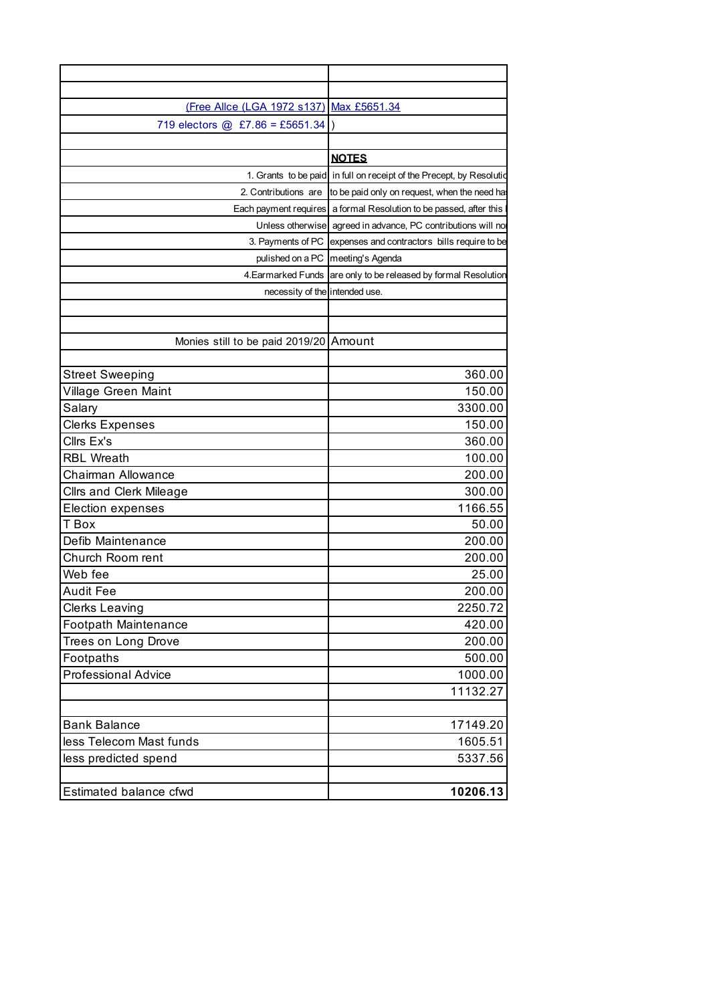| (Free Allce (LGA 1972 s137)            | Max £5651.34                                                          |
|----------------------------------------|-----------------------------------------------------------------------|
| 719 electors @ £7.86 = £5651.34        |                                                                       |
|                                        |                                                                       |
|                                        |                                                                       |
|                                        | <b>NOTES</b>                                                          |
|                                        | 1. Grants to be paid in full on receipt of the Precept, by Resolution |
|                                        | 2. Contributions are to be paid only on request, when the need ha     |
|                                        | Each payment requires a formal Resolution to be passed, after this    |
|                                        | Unless otherwise agreed in advance, PC contributions will no          |
|                                        | 3. Payments of PC expenses and contractors bills require to be        |
|                                        | pulished on a PC   meeting's Agenda                                   |
|                                        | 4. Earmarked Funds are only to be released by formal Resolution       |
| necessity of the intended use.         |                                                                       |
|                                        |                                                                       |
|                                        |                                                                       |
| Monies still to be paid 2019/20 Amount |                                                                       |
|                                        |                                                                       |
| <b>Street Sweeping</b>                 | 360.00                                                                |
| Village Green Maint                    | 150.00                                                                |
| Salary                                 | 3300.00                                                               |
| <b>Clerks Expenses</b>                 | 150.00                                                                |
| Cllrs Ex's                             | 360.00                                                                |
| <b>RBL Wreath</b>                      | 100.00                                                                |
| Chairman Allowance                     | 200.00                                                                |
| <b>Cllrs and Clerk Mileage</b>         | 300.00                                                                |
| Election expenses                      | 1166.55                                                               |
| T Box                                  | 50.00                                                                 |
| Defib Maintenance                      | 200.00                                                                |
| Church Room rent                       | 200.00                                                                |
| Web fee                                | 25.00                                                                 |
| <b>Audit Fee</b>                       | 200.00                                                                |
| <b>Clerks Leaving</b>                  | 2250.72                                                               |
| Footpath Maintenance                   | 420.00                                                                |
| Trees on Long Drove                    | 200.00                                                                |
| Footpaths                              | 500.00                                                                |
|                                        |                                                                       |
| <b>Professional Advice</b>             | 1000.00                                                               |
|                                        | 11132.27                                                              |
|                                        |                                                                       |
| <b>Bank Balance</b>                    | 17149.20                                                              |
| less Telecom Mast funds                | 1605.51                                                               |
| less predicted spend                   | 5337.56                                                               |
|                                        |                                                                       |
| Estimated balance cfwd                 | 10206.13                                                              |
|                                        |                                                                       |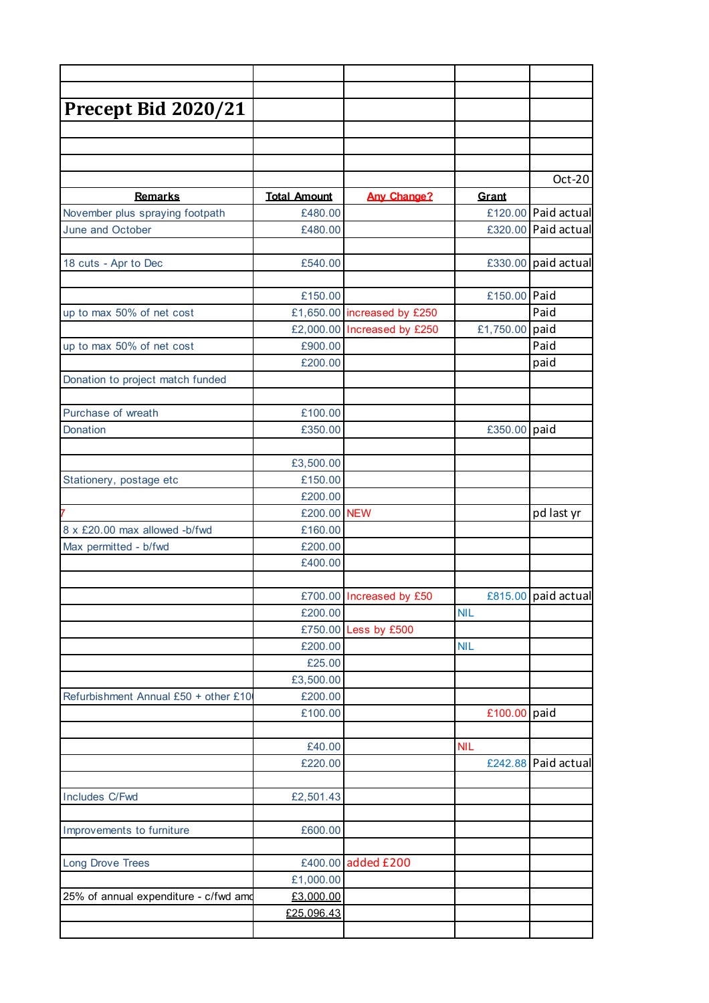| Precept Bid 2020/21                   |                         |                             |                |                     |
|---------------------------------------|-------------------------|-----------------------------|----------------|---------------------|
|                                       |                         |                             |                |                     |
|                                       |                         |                             |                |                     |
|                                       |                         |                             |                |                     |
|                                       |                         |                             |                | Oct-20              |
| <b>Remarks</b>                        | <b>Total Amount</b>     | <b>Any Change?</b>          | Grant          |                     |
| November plus spraying footpath       | £480.00                 |                             |                | £120.00 Paid actual |
| June and October                      | £480.00                 |                             |                | £320.00 Paid actual |
|                                       |                         |                             |                |                     |
| 18 cuts - Apr to Dec                  | £540.00                 |                             |                | £330.00 paid actual |
|                                       | £150.00                 |                             | £150.00 Paid   |                     |
| up to max 50% of net cost             |                         | £1,650.00 increased by £250 |                | Paid                |
|                                       |                         | £2,000.00 Increased by £250 | £1,750.00 paid |                     |
| up to max 50% of net cost             | £900.00                 |                             |                | Paid                |
|                                       | £200.00                 |                             |                | paid                |
| Donation to project match funded      |                         |                             |                |                     |
|                                       |                         |                             |                |                     |
| Purchase of wreath                    | £100.00                 |                             |                |                     |
| Donation                              | £350.00                 |                             | £350.00 paid   |                     |
|                                       |                         |                             |                |                     |
|                                       | £3,500.00               |                             |                |                     |
| Stationery, postage etc               | £150.00                 |                             |                |                     |
|                                       | £200.00                 |                             |                |                     |
|                                       | £200.00 NEW             |                             |                | pd last yr          |
| 8 x £20.00 max allowed -b/fwd         | £160.00                 |                             |                |                     |
| Max permitted - b/fwd                 | £200.00                 |                             |                |                     |
|                                       | £400.00                 |                             |                |                     |
|                                       |                         |                             |                |                     |
|                                       |                         | £700.00 Increased by £50    |                | £815.00 paid actual |
|                                       | £200.00                 |                             | <b>NIL</b>     |                     |
|                                       |                         | £750.00 Less by £500        |                |                     |
|                                       | £200.00                 |                             | <b>NIL</b>     |                     |
|                                       | £25.00                  |                             |                |                     |
|                                       | £3,500.00               |                             |                |                     |
| Refurbishment Annual £50 + other £10  | £200.00                 |                             |                |                     |
|                                       | £100.00                 |                             | £100.00 paid   |                     |
|                                       |                         |                             |                |                     |
|                                       | £40.00                  |                             | <b>NIL</b>     |                     |
|                                       | £220.00                 |                             |                | £242.88 Paid actual |
|                                       |                         |                             |                |                     |
| Includes C/Fwd                        | £2,501.43               |                             |                |                     |
| Improvements to furniture             | £600.00                 |                             |                |                     |
|                                       |                         |                             |                |                     |
| <b>Long Drove Trees</b>               |                         | £400.00 added £200          |                |                     |
|                                       |                         |                             |                |                     |
|                                       |                         |                             |                |                     |
|                                       | £1,000.00               |                             |                |                     |
| 25% of annual expenditure - c/fwd amd | £3,000.00<br>£25,096.43 |                             |                |                     |